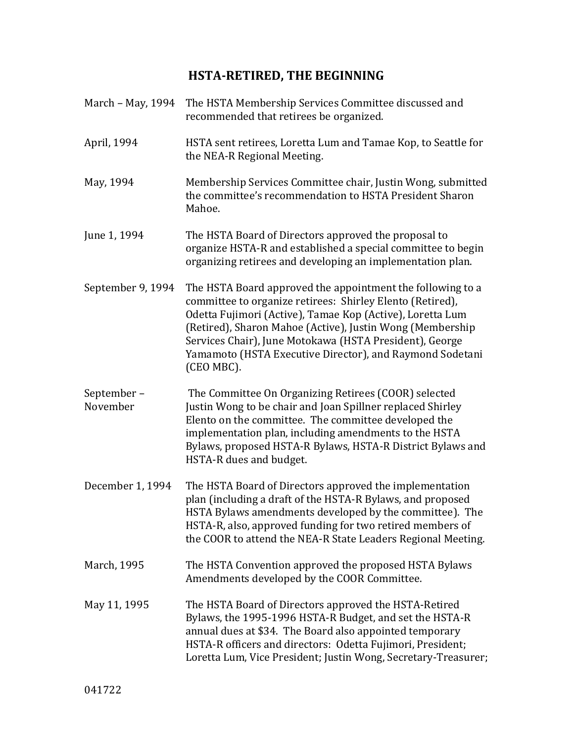## **HSTA-RETIRED, THE BEGINNING**

| March - May, 1994      | The HSTA Membership Services Committee discussed and<br>recommended that retirees be organized.                                                                                                                                                                                                                                                                                        |
|------------------------|----------------------------------------------------------------------------------------------------------------------------------------------------------------------------------------------------------------------------------------------------------------------------------------------------------------------------------------------------------------------------------------|
| April, 1994            | HSTA sent retirees, Loretta Lum and Tamae Kop, to Seattle for<br>the NEA-R Regional Meeting.                                                                                                                                                                                                                                                                                           |
| May, 1994              | Membership Services Committee chair, Justin Wong, submitted<br>the committee's recommendation to HSTA President Sharon<br>Mahoe.                                                                                                                                                                                                                                                       |
| June 1, 1994           | The HSTA Board of Directors approved the proposal to<br>organize HSTA-R and established a special committee to begin<br>organizing retirees and developing an implementation plan.                                                                                                                                                                                                     |
| September 9, 1994      | The HSTA Board approved the appointment the following to a<br>committee to organize retirees: Shirley Elento (Retired),<br>Odetta Fujimori (Active), Tamae Kop (Active), Loretta Lum<br>(Retired), Sharon Mahoe (Active), Justin Wong (Membership<br>Services Chair), June Motokawa (HSTA President), George<br>Yamamoto (HSTA Executive Director), and Raymond Sodetani<br>(CEO MBC). |
| September-<br>November | The Committee On Organizing Retirees (COOR) selected<br>Justin Wong to be chair and Joan Spillner replaced Shirley<br>Elento on the committee. The committee developed the<br>implementation plan, including amendments to the HSTA<br>Bylaws, proposed HSTA-R Bylaws, HSTA-R District Bylaws and<br>HSTA-R dues and budget.                                                           |
| December 1, 1994       | The HSTA Board of Directors approved the implementation<br>plan (including a draft of the HSTA-R Bylaws, and proposed<br>HSTA Bylaws amendments developed by the committee). The<br>HSTA-R, also, approved funding for two retired members of<br>the COOR to attend the NEA-R State Leaders Regional Meeting.                                                                          |
| March, 1995            | The HSTA Convention approved the proposed HSTA Bylaws<br>Amendments developed by the COOR Committee.                                                                                                                                                                                                                                                                                   |
| May 11, 1995           | The HSTA Board of Directors approved the HSTA-Retired<br>Bylaws, the 1995-1996 HSTA-R Budget, and set the HSTA-R<br>annual dues at \$34. The Board also appointed temporary<br>HSTA-R officers and directors: Odetta Fujimori, President;<br>Loretta Lum, Vice President; Justin Wong, Secretary-Treasurer;                                                                            |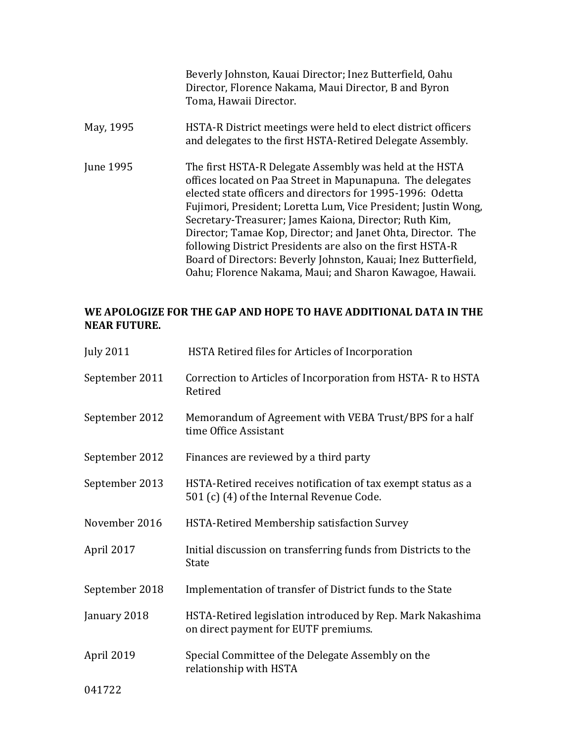|           | Beverly Johnston, Kauai Director; Inez Butterfield, Oahu<br>Director, Florence Nakama, Maui Director, B and Byron<br>Toma, Hawaii Director.                                                                                                                                                                                                                                                                                                                                                                                                                                 |
|-----------|-----------------------------------------------------------------------------------------------------------------------------------------------------------------------------------------------------------------------------------------------------------------------------------------------------------------------------------------------------------------------------------------------------------------------------------------------------------------------------------------------------------------------------------------------------------------------------|
| May, 1995 | HSTA-R District meetings were held to elect district officers<br>and delegates to the first HSTA-Retired Delegate Assembly.                                                                                                                                                                                                                                                                                                                                                                                                                                                 |
| June 1995 | The first HSTA-R Delegate Assembly was held at the HSTA<br>offices located on Paa Street in Mapunapuna. The delegates<br>elected state officers and directors for 1995-1996: Odetta<br>Fujimori, President; Loretta Lum, Vice President; Justin Wong,<br>Secretary-Treasurer; James Kaiona, Director; Ruth Kim,<br>Director; Tamae Kop, Director; and Janet Ohta, Director. The<br>following District Presidents are also on the first HSTA-R<br>Board of Directors: Beverly Johnston, Kauai; Inez Butterfield,<br>Oahu; Florence Nakama, Maui; and Sharon Kawagoe, Hawaii. |

## **WE APOLOGIZE FOR THE GAP AND HOPE TO HAVE ADDITIONAL DATA IN THE NEAR FUTURE.**

| <b>July 2011</b> | HSTA Retired files for Articles of Incorporation                                                          |
|------------------|-----------------------------------------------------------------------------------------------------------|
| September 2011   | Correction to Articles of Incorporation from HSTA-R to HSTA<br>Retired                                    |
| September 2012   | Memorandum of Agreement with VEBA Trust/BPS for a half<br>time Office Assistant                           |
| September 2012   | Finances are reviewed by a third party                                                                    |
| September 2013   | HSTA-Retired receives notification of tax exempt status as a<br>501 (c) (4) of the Internal Revenue Code. |
| November 2016    | HSTA-Retired Membership satisfaction Survey                                                               |
| April 2017       | Initial discussion on transferring funds from Districts to the<br><b>State</b>                            |
| September 2018   | Implementation of transfer of District funds to the State                                                 |
| January 2018     | HSTA-Retired legislation introduced by Rep. Mark Nakashima<br>on direct payment for EUTF premiums.        |
| April 2019       | Special Committee of the Delegate Assembly on the<br>relationship with HSTA                               |
|                  |                                                                                                           |

041722